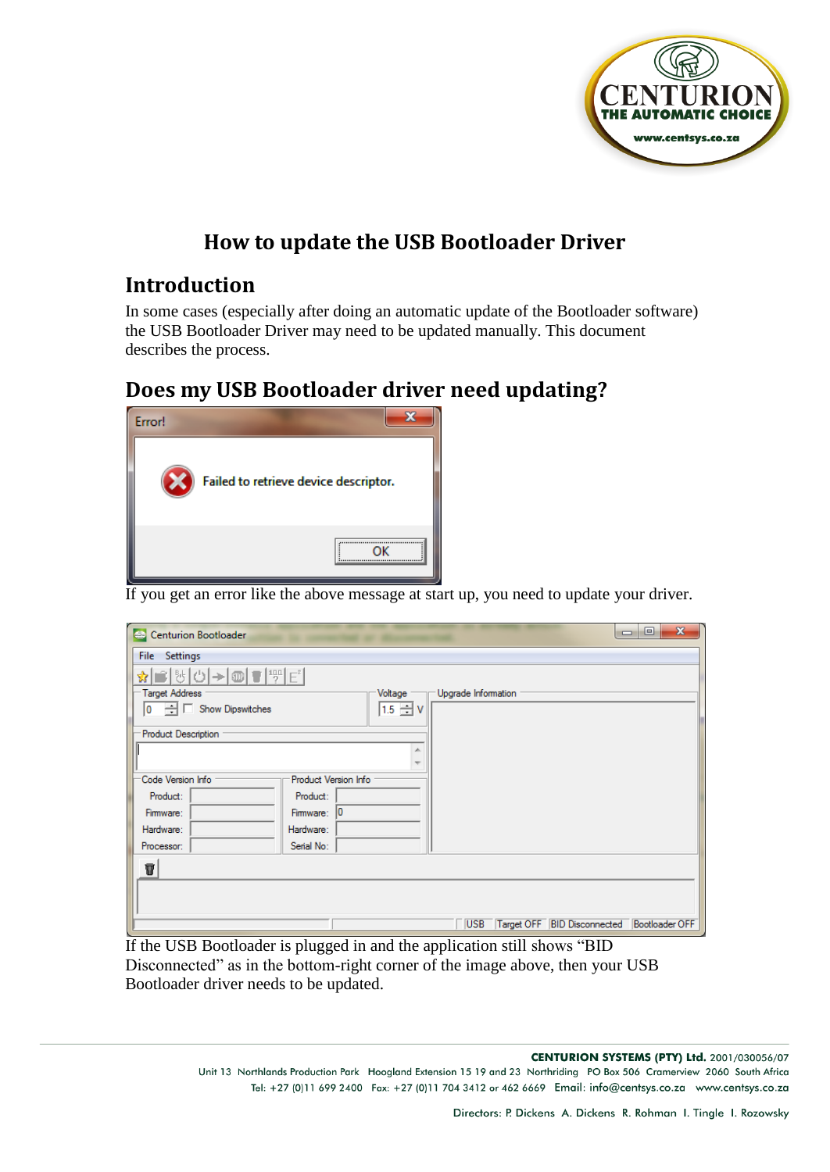

## **How to update the USB Bootloader Driver**

## **Introduction**

In some cases (especially after doing an automatic update of the Bootloader software) the USB Bootloader Driver may need to be updated manually. This document describes the process.

## **Does my USB Bootloader driver need updating?**



If you get an error like the above message at start up, you need to update your driver.

| Centurion Bootloader                                             | $\mathbf{x}$<br>$\Box$<br>$\Box$                                   |
|------------------------------------------------------------------|--------------------------------------------------------------------|
| File Settings                                                    |                                                                    |
| <b>■ 5 8 8 8 9 8 9 8</b><br>☆│                                   |                                                                    |
| Target Address                                                   | Upgrade Information<br>Voltage                                     |
| $\boxed{0}$ $\rightarrow$ $\boxed{\phantom{0}}$ Show Dipswitches | $1.5 \pm V$                                                        |
| Product Description                                              |                                                                    |
|                                                                  | ×.                                                                 |
| Code Version Info<br>Product Version Info                        |                                                                    |
|                                                                  |                                                                    |
| Product:<br>Product:                                             |                                                                    |
| 10<br>Firmware:<br>Firmware:                                     |                                                                    |
| Hardware:<br>Hardware:                                           |                                                                    |
| Serial No:<br>Processor:                                         |                                                                    |
| T                                                                |                                                                    |
|                                                                  |                                                                    |
|                                                                  |                                                                    |
|                                                                  | Target OFF BID Disconnected<br><b>Bootloader OFF</b><br><b>USB</b> |

If the USB Bootloader is plugged in and the application still shows "BID Disconnected" as in the bottom-right corner of the image above, then your USB Bootloader driver needs to be updated.

> **CENTURION SYSTEMS (PTY) Ltd.** 2001/030056/07 Unit 13 Northlands Production Park Hoogland Extension 15 19 and 23 Northriding PO Box 506 Cramerview 2060 South Africa Tel: +27 (0)11 699 2400 Fax: +27 (0)11 704 3412 or 462 6669 Email: info@centsys.co.za www.centsys.co.za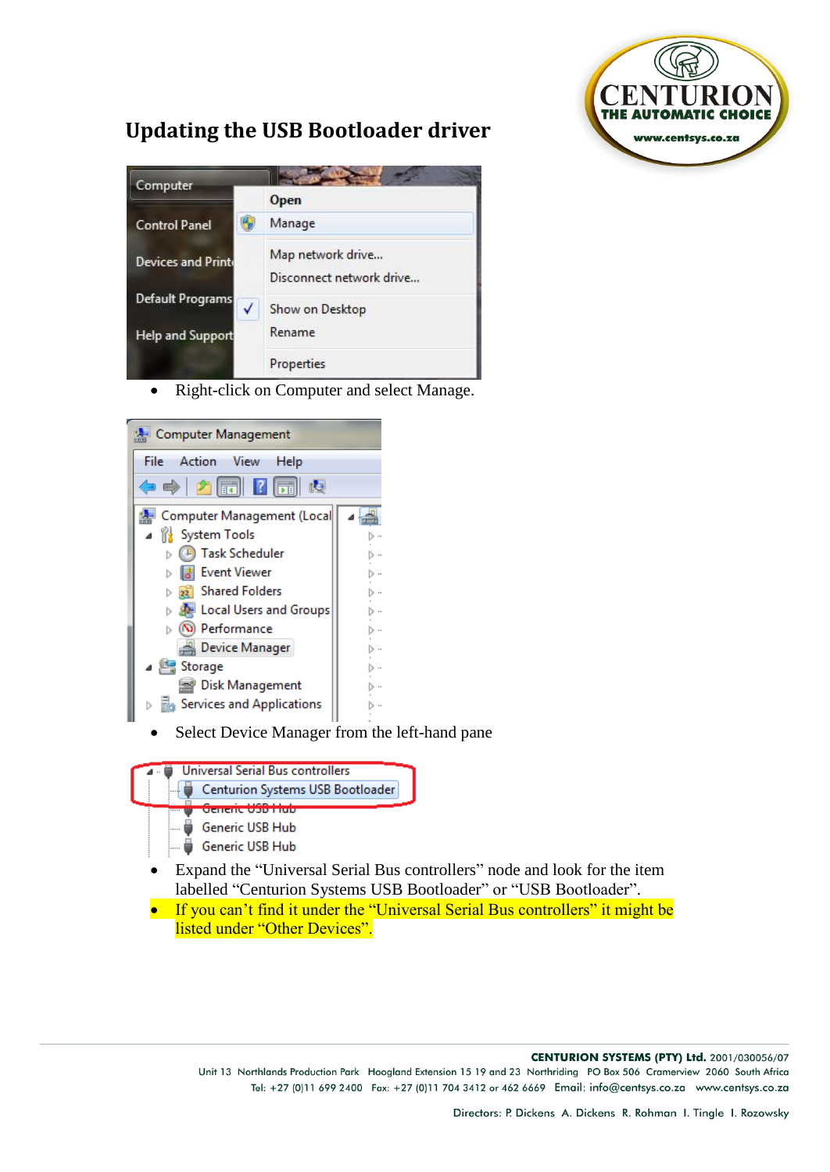

## **Updating the USB Bootloader driver**



• Right-click on Computer and select Manage.



Select Device Manager from the left-hand pane



- Expand the "Universal Serial Bus controllers" node and look for the item labelled "Centurion Systems USB Bootloader" or "USB Bootloader".
- If you can't find it under the "Universal Serial Bus controllers" it might be listed under "Other Devices".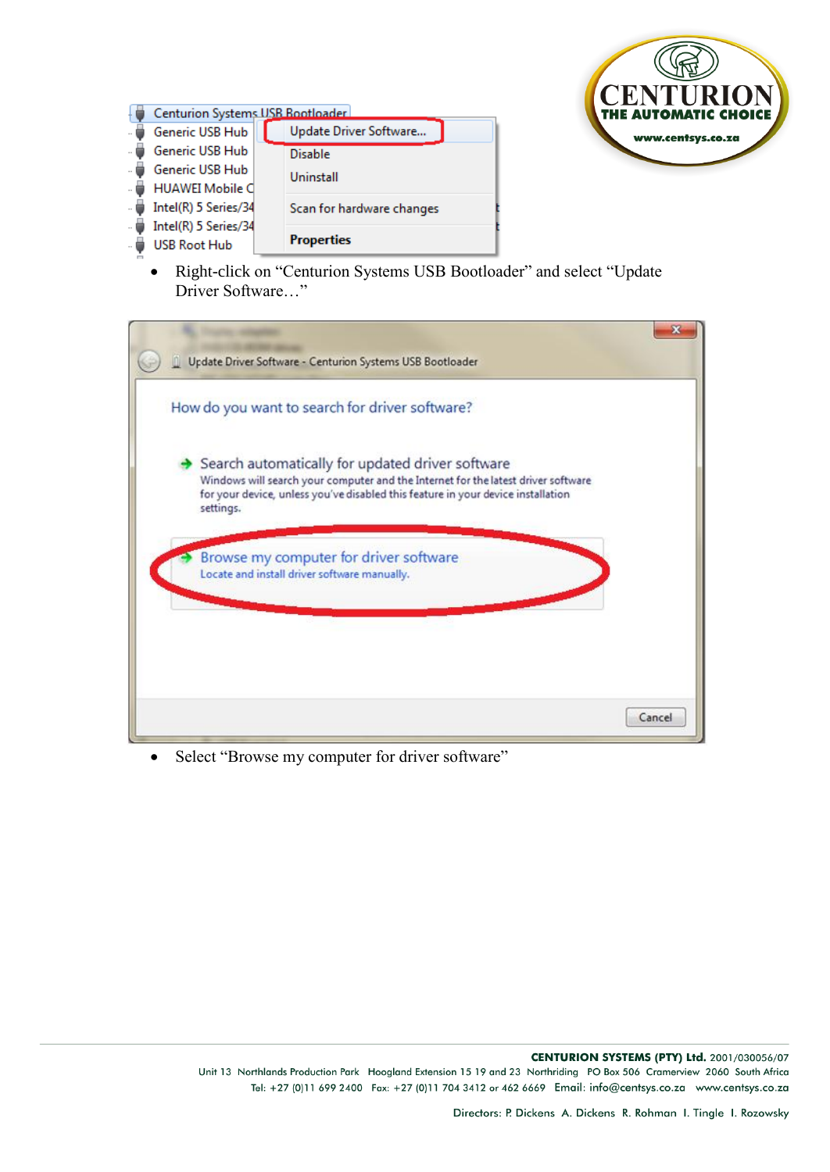

| Generic USB Hub      | Update Driver Software                              |
|----------------------|-----------------------------------------------------|
| Generic USB Hub      | <b>Disable</b>                                      |
| Generic USB Hub      | Uninstall                                           |
|                      |                                                     |
| Intel(R) 5 Series/34 | Scan for hardware changes                           |
| Intel(R) 5 Series/34 |                                                     |
| <b>USB Root Hub</b>  | <b>Properties</b>                                   |
|                      | Centurion Systems USB Bootloader<br>HUAWEI Mobile C |

• Right-click on "Centurion Systems USB Bootloader" and select "Update Driver Software…"

| Update Driver Software - Centurion Systems USB Bootloader                                                                                                                                                                              |  |
|----------------------------------------------------------------------------------------------------------------------------------------------------------------------------------------------------------------------------------------|--|
| How do you want to search for driver software?                                                                                                                                                                                         |  |
| Search automatically for updated driver software<br>Windows will search your computer and the Internet for the latest driver software<br>for your device, unless you've disabled this feature in your device installation<br>settings. |  |
| Browse my computer for driver software<br>Locate and install driver software manually.                                                                                                                                                 |  |
| Cancel                                                                                                                                                                                                                                 |  |

• Select "Browse my computer for driver software"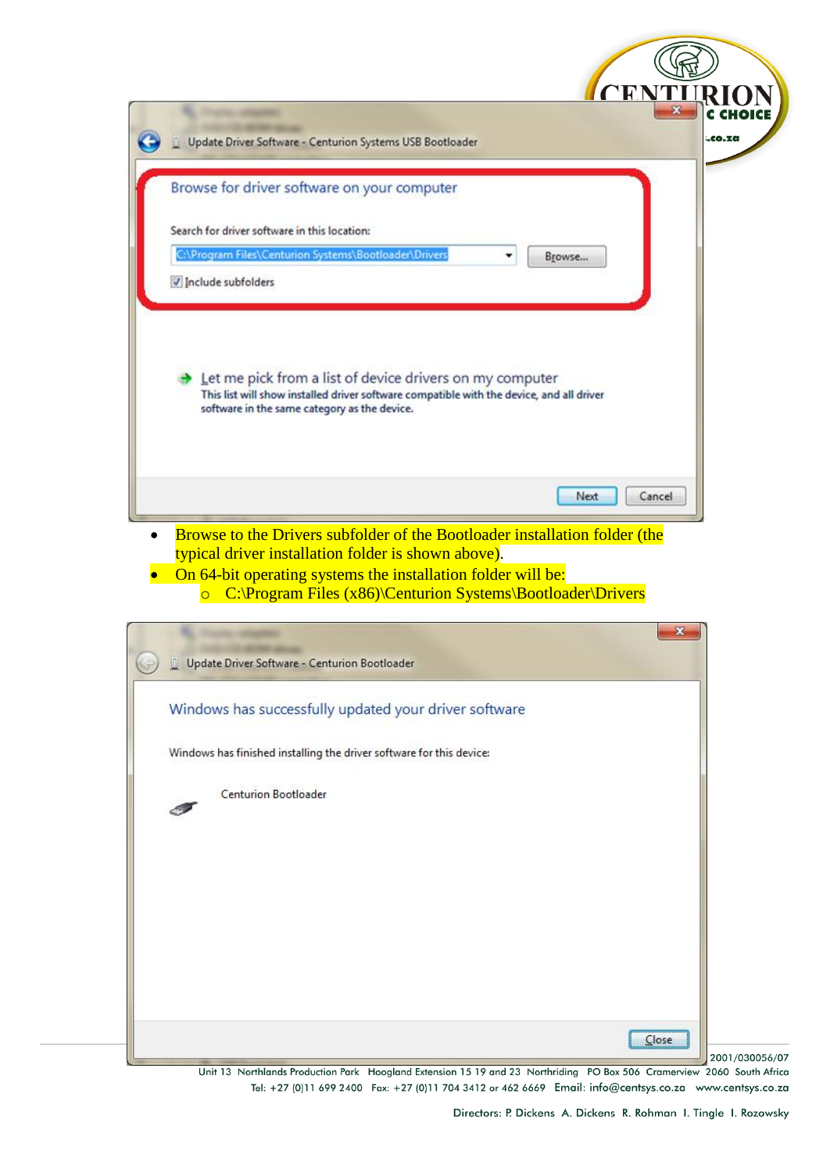| Update Driver Software - Centurion Systems USB Bootloader                                                                                                                                            | CENTI<br>.co.za |
|------------------------------------------------------------------------------------------------------------------------------------------------------------------------------------------------------|-----------------|
| Browse for driver software on your computer                                                                                                                                                          |                 |
| Search for driver software in this location:                                                                                                                                                         |                 |
| C:\Program Files\Centurion Systems\Bootloader\Drivers<br>Browse                                                                                                                                      |                 |
| V Include subfolders                                                                                                                                                                                 |                 |
| Let me pick from a list of device drivers on my computer<br>This list will show installed driver software compatible with the device, and all driver<br>software in the same category as the device. |                 |
|                                                                                                                                                                                                      | Next<br>Cancel  |
| Browse to the Drivers subfolder of the Bootloader installation folder (the<br>$\bullet$<br>typical driver installation folder is shown above).                                                       |                 |
| On 64-bit operating systems the installation folder will be:<br><b>o</b> C:\Program Files (x86)\Centurion Systems\Bootloader\Drivers                                                                 |                 |
|                                                                                                                                                                                                      | x               |
| Update Driver Software - Centurion Bootloader                                                                                                                                                        |                 |
| Windows has successfully updated your driver software                                                                                                                                                |                 |
| Windows has finished installing the driver software for this device:                                                                                                                                 |                 |
|                                                                                                                                                                                                      |                 |
| <b>Centurion Bootloader</b>                                                                                                                                                                          |                 |
|                                                                                                                                                                                                      |                 |
|                                                                                                                                                                                                      |                 |
|                                                                                                                                                                                                      |                 |
|                                                                                                                                                                                                      |                 |
|                                                                                                                                                                                                      |                 |
|                                                                                                                                                                                                      |                 |
|                                                                                                                                                                                                      | $C$ lose        |

Unit 13 Northlands Production Park Hoogland Extension 15 19 and 23 Northriding PO Box 506 Cramerview 2060 South Africa Tel: +27 (0)11 699 2400 Fax: +27 (0)11 704 3412 or 462 6669 Email: info@centsys.co.za www.centsys.co.za